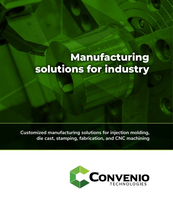# **Manufacturing solutions for industry**

**Customized manufacturing solutions for injection molding, die cast, stamping, fabrication, and CNC machining**

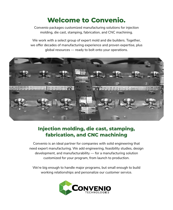## **Welcome to Convenio.**

Convenio packages customized manufacturing solutions for injection molding, die cast, stamping, fabrication, and CNC machining.

We work with a select group of expert mold and die builders. Together, we offer decades of manufacturing experience and proven expertise, plus global resources — ready to bolt onto your operations.



## **Injection molding, die cast, stamping, fabrication, and CNC machining**

Convenio is an ideal partner for companies with solid engineering that need expert manufacturing. We add engineering, feasibility studies, design development, and manufacturability — for a manufacturing solution customized for your program, from launch to production.

We're big enough to handle major programs, but small enough to build working relationships and personalize our customer service.

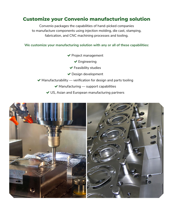#### **Customize your Convenio manufacturing solution**

Convenio packages the capabilities of hand-picked companies to manufacture components using injection molding, die cast, stamping, fabrication, and CNC machining processes and tooling.

**We customize your manufacturing solution with any or all of these capabilities:**

- ◆ Project management
	- **←** Engineering
	- $\blacktriangleright$  Feasibility studies
- ◆ Design development
- $\blacktriangleright$  Manufacturability verification for design and parts tooling
	- $\blacktriangleright$  Manufacturing support capabilities
	- US, Asian and European manufacturing partners